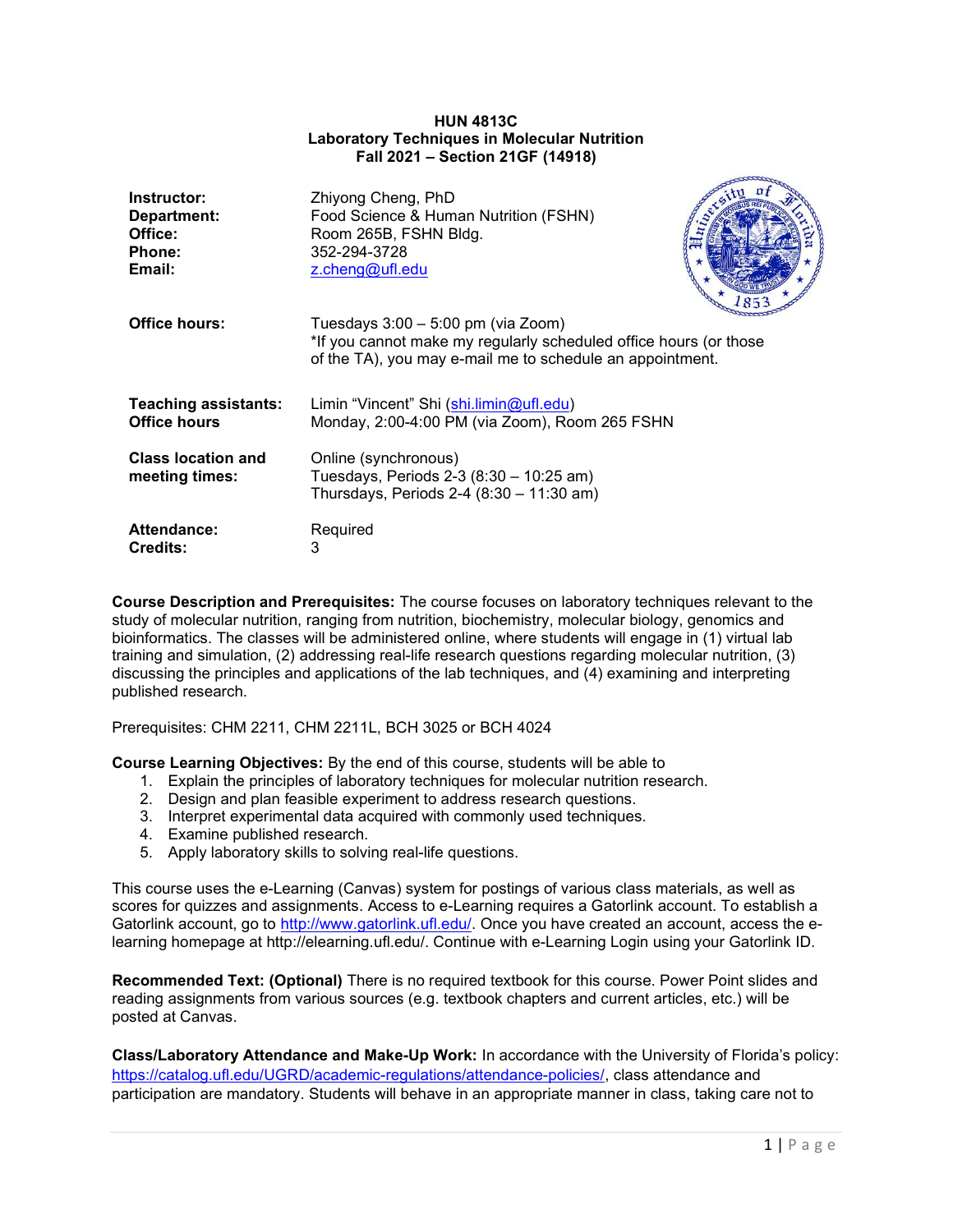## HUN 4813C Laboratory Techniques in Molecular Nutrition Fall 2021 – Section 21GF (14918)

| Instructor:                                 | Zhiyong Cheng, PhD                                                                                                                                                     |
|---------------------------------------------|------------------------------------------------------------------------------------------------------------------------------------------------------------------------|
| Department:                                 | Food Science & Human Nutrition (FSHN)                                                                                                                                  |
| Office:                                     | Room 265B, FSHN Bldg.                                                                                                                                                  |
| <b>Phone:</b>                               | 352-294-3728                                                                                                                                                           |
| Email:                                      | z.cheng@ufl.edu                                                                                                                                                        |
| <b>Office hours:</b>                        | Tuesdays $3:00 - 5:00$ pm (via Zoom)<br>*If you cannot make my regularly scheduled office hours (or those<br>of the TA), you may e-mail me to schedule an appointment. |
| <b>Teaching assistants:</b>                 | Limin "Vincent" Shi (shi.limin@ufl.edu)                                                                                                                                |
| <b>Office hours</b>                         | Monday, 2:00-4:00 PM (via Zoom), Room 265 FSHN                                                                                                                         |
| <b>Class location and</b><br>meeting times: | Online (synchronous)<br>Tuesdays, Periods 2-3 (8:30 - 10:25 am)<br>Thursdays, Periods 2-4 $(8:30 - 11:30 \text{ am})$                                                  |
| Attendance:                                 | Required                                                                                                                                                               |
| <b>Credits:</b>                             | 3                                                                                                                                                                      |

Course Description and Prerequisites: The course focuses on laboratory techniques relevant to the study of molecular nutrition, ranging from nutrition, biochemistry, molecular biology, genomics and bioinformatics. The classes will be administered online, where students will engage in (1) virtual lab training and simulation, (2) addressing real-life research questions regarding molecular nutrition, (3) discussing the principles and applications of the lab techniques, and (4) examining and interpreting published research.

Prerequisites: CHM 2211, CHM 2211L, BCH 3025 or BCH 4024

Course Learning Objectives: By the end of this course, students will be able to

- 1. Explain the principles of laboratory techniques for molecular nutrition research.
- 2. Design and plan feasible experiment to address research questions.
- 3. Interpret experimental data acquired with commonly used techniques.
- 4. Examine published research.
- 5. Apply laboratory skills to solving real-life questions.

This course uses the e-Learning (Canvas) system for postings of various class materials, as well as scores for quizzes and assignments. Access to e-Learning requires a Gatorlink account. To establish a Gatorlink account, go to http://www.gatorlink.ufl.edu/. Once you have created an account, access the elearning homepage at http://elearning.ufl.edu/. Continue with e-Learning Login using your Gatorlink ID.

Recommended Text: (Optional) There is no required textbook for this course. Power Point slides and reading assignments from various sources (e.g. textbook chapters and current articles, etc.) will be posted at Canvas.

Class/Laboratory Attendance and Make-Up Work: In accordance with the University of Florida's policy: https://catalog.ufl.edu/UGRD/academic-regulations/attendance-policies/, class attendance and participation are mandatory. Students will behave in an appropriate manner in class, taking care not to

**common**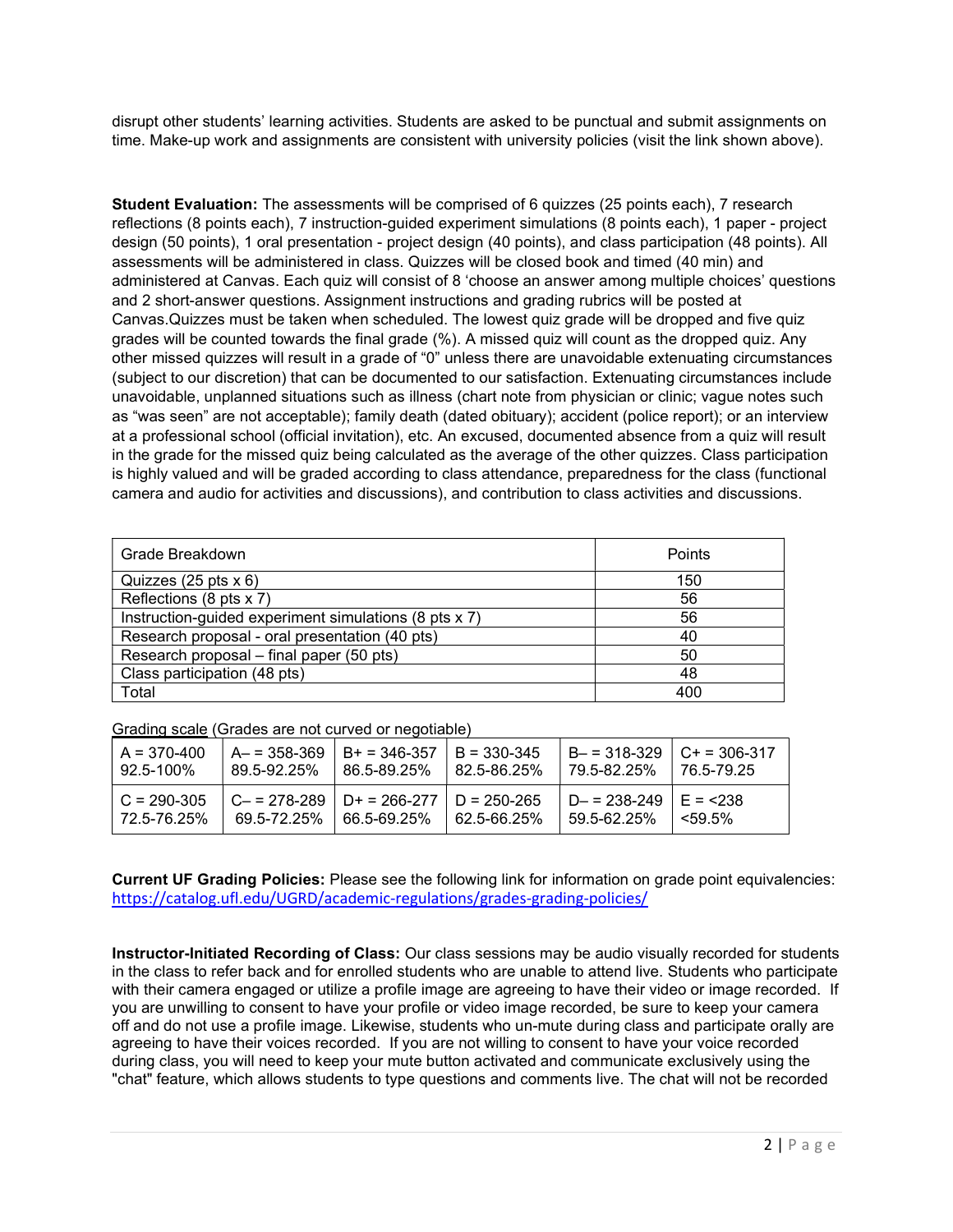disrupt other students' learning activities. Students are asked to be punctual and submit assignments on time. Make-up work and assignments are consistent with university policies (visit the link shown above).

Student Evaluation: The assessments will be comprised of 6 quizzes (25 points each), 7 research reflections (8 points each), 7 instruction-guided experiment simulations (8 points each), 1 paper - project design (50 points), 1 oral presentation - project design (40 points), and class participation (48 points). All assessments will be administered in class. Quizzes will be closed book and timed (40 min) and administered at Canvas. Each quiz will consist of 8 'choose an answer among multiple choices' questions and 2 short-answer questions. Assignment instructions and grading rubrics will be posted at Canvas.Quizzes must be taken when scheduled. The lowest quiz grade will be dropped and five quiz grades will be counted towards the final grade (%). A missed quiz will count as the dropped quiz. Any other missed quizzes will result in a grade of "0" unless there are unavoidable extenuating circumstances (subject to our discretion) that can be documented to our satisfaction. Extenuating circumstances include unavoidable, unplanned situations such as illness (chart note from physician or clinic; vague notes such as "was seen" are not acceptable); family death (dated obituary); accident (police report); or an interview at a professional school (official invitation), etc. An excused, documented absence from a quiz will result in the grade for the missed quiz being calculated as the average of the other quizzes. Class participation is highly valued and will be graded according to class attendance, preparedness for the class (functional camera and audio for activities and discussions), and contribution to class activities and discussions.

| Grade Breakdown                                       | Points |
|-------------------------------------------------------|--------|
| Quizzes $(25 \text{ pts} \times 6)$                   | 150    |
| Reflections (8 pts x 7)                               | 56     |
| Instruction-guided experiment simulations (8 pts x 7) | 56     |
| Research proposal - oral presentation (40 pts)        | 40     |
| Research proposal – final paper (50 pts)              | 50     |
| Class participation (48 pts)                          | 48     |
| Total                                                 | 400    |

Grading scale (Grades are not curved or negotiable)

| $A = 370 - 400$                | $A = 358 - 369$ | $B + 346 - 357$                                               | $B = 330 - 345$  | $B - 318 - 329$ $C + 306 - 317$          | 76 5-79 25 |
|--------------------------------|-----------------|---------------------------------------------------------------|------------------|------------------------------------------|------------|
| 92.5-100%                      | 89 5-92 25%     | 86.5-89.25%                                                   | $182.5 - 86.25%$ | 79.5-82.25%                              |            |
| $C = 290-305$<br>l 72.5-76.25% | 69.5-72.25%     | $C - 278 - 289$   D+ = 266-277   D = 250-265<br>  66.5-69.25% | L 62 5-66 25%    | $D = 238 - 249$ $E = 238$<br>59.5-62.25% | <59.5%     |

Current UF Grading Policies: Please see the following link for information on grade point equivalencies: https://catalog.ufl.edu/UGRD/academic-regulations/grades-grading-policies/

Instructor-Initiated Recording of Class: Our class sessions may be audio visually recorded for students in the class to refer back and for enrolled students who are unable to attend live. Students who participate with their camera engaged or utilize a profile image are agreeing to have their video or image recorded. If you are unwilling to consent to have your profile or video image recorded, be sure to keep your camera off and do not use a profile image. Likewise, students who un-mute during class and participate orally are agreeing to have their voices recorded. If you are not willing to consent to have your voice recorded during class, you will need to keep your mute button activated and communicate exclusively using the "chat" feature, which allows students to type questions and comments live. The chat will not be recorded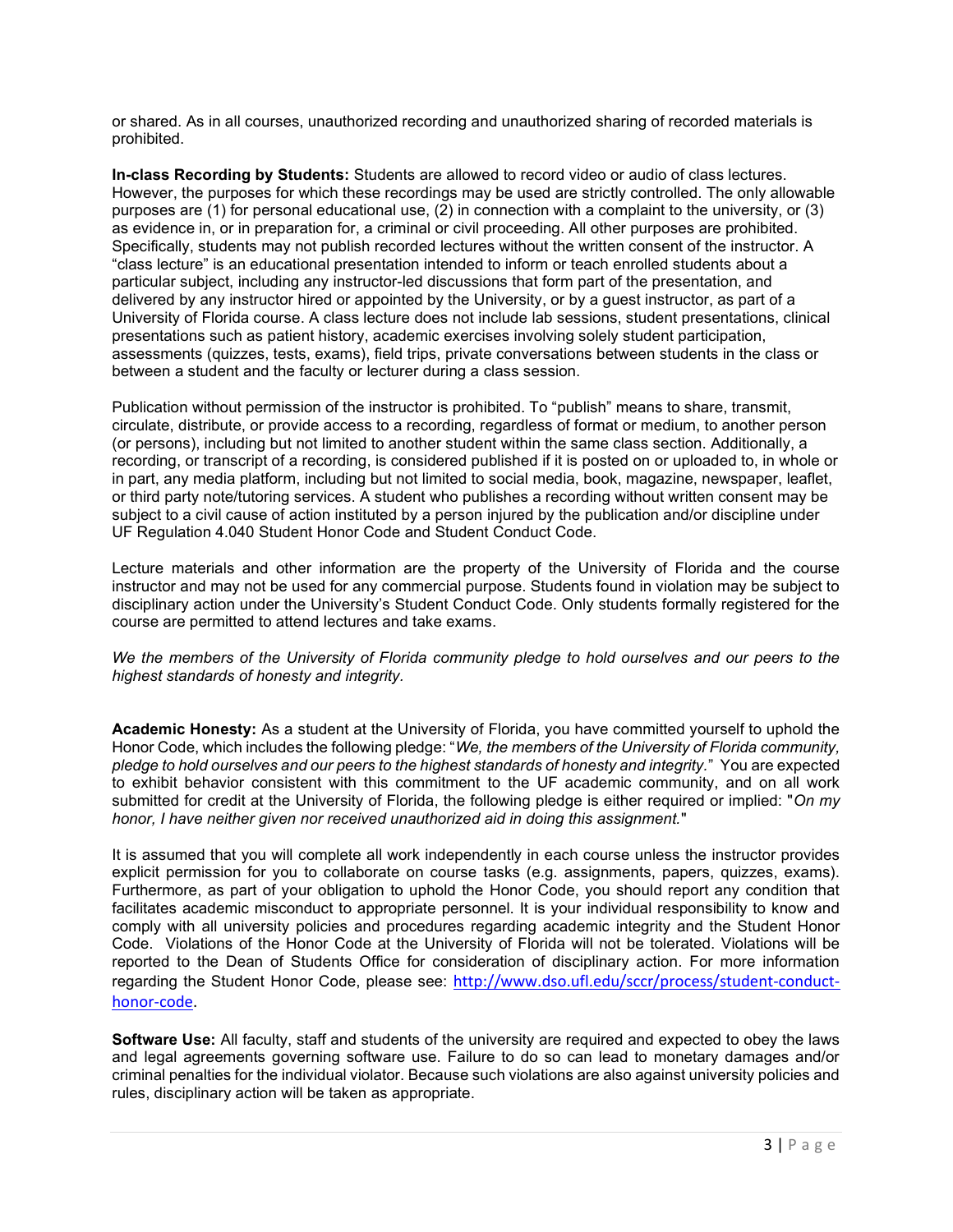or shared. As in all courses, unauthorized recording and unauthorized sharing of recorded materials is prohibited.

In-class Recording by Students: Students are allowed to record video or audio of class lectures. However, the purposes for which these recordings may be used are strictly controlled. The only allowable purposes are (1) for personal educational use, (2) in connection with a complaint to the university, or (3) as evidence in, or in preparation for, a criminal or civil proceeding. All other purposes are prohibited. Specifically, students may not publish recorded lectures without the written consent of the instructor. A "class lecture" is an educational presentation intended to inform or teach enrolled students about a particular subject, including any instructor-led discussions that form part of the presentation, and delivered by any instructor hired or appointed by the University, or by a guest instructor, as part of a University of Florida course. A class lecture does not include lab sessions, student presentations, clinical presentations such as patient history, academic exercises involving solely student participation, assessments (quizzes, tests, exams), field trips, private conversations between students in the class or between a student and the faculty or lecturer during a class session.

Publication without permission of the instructor is prohibited. To "publish" means to share, transmit, circulate, distribute, or provide access to a recording, regardless of format or medium, to another person (or persons), including but not limited to another student within the same class section. Additionally, a recording, or transcript of a recording, is considered published if it is posted on or uploaded to, in whole or in part, any media platform, including but not limited to social media, book, magazine, newspaper, leaflet, or third party note/tutoring services. A student who publishes a recording without written consent may be subject to a civil cause of action instituted by a person injured by the publication and/or discipline under UF Regulation 4.040 Student Honor Code and Student Conduct Code.

Lecture materials and other information are the property of the University of Florida and the course instructor and may not be used for any commercial purpose. Students found in violation may be subject to disciplinary action under the University's Student Conduct Code. Only students formally registered for the course are permitted to attend lectures and take exams.

We the members of the University of Florida community pledge to hold ourselves and our peers to the highest standards of honesty and integrity.

Academic Honesty: As a student at the University of Florida, you have committed yourself to uphold the Honor Code, which includes the following pledge: "We, the members of the University of Florida community, pledge to hold ourselves and our peers to the highest standards of honesty and integrity." You are expected to exhibit behavior consistent with this commitment to the UF academic community, and on all work submitted for credit at the University of Florida, the following pledge is either required or implied: "On my honor, I have neither given nor received unauthorized aid in doing this assignment."

It is assumed that you will complete all work independently in each course unless the instructor provides explicit permission for you to collaborate on course tasks (e.g. assignments, papers, quizzes, exams). Furthermore, as part of your obligation to uphold the Honor Code, you should report any condition that facilitates academic misconduct to appropriate personnel. It is your individual responsibility to know and comply with all university policies and procedures regarding academic integrity and the Student Honor Code. Violations of the Honor Code at the University of Florida will not be tolerated. Violations will be reported to the Dean of Students Office for consideration of disciplinary action. For more information regarding the Student Honor Code, please see: http://www.dso.ufl.edu/sccr/process/student-conducthonor-code.

Software Use: All faculty, staff and students of the university are required and expected to obey the laws and legal agreements governing software use. Failure to do so can lead to monetary damages and/or criminal penalties for the individual violator. Because such violations are also against university policies and rules, disciplinary action will be taken as appropriate.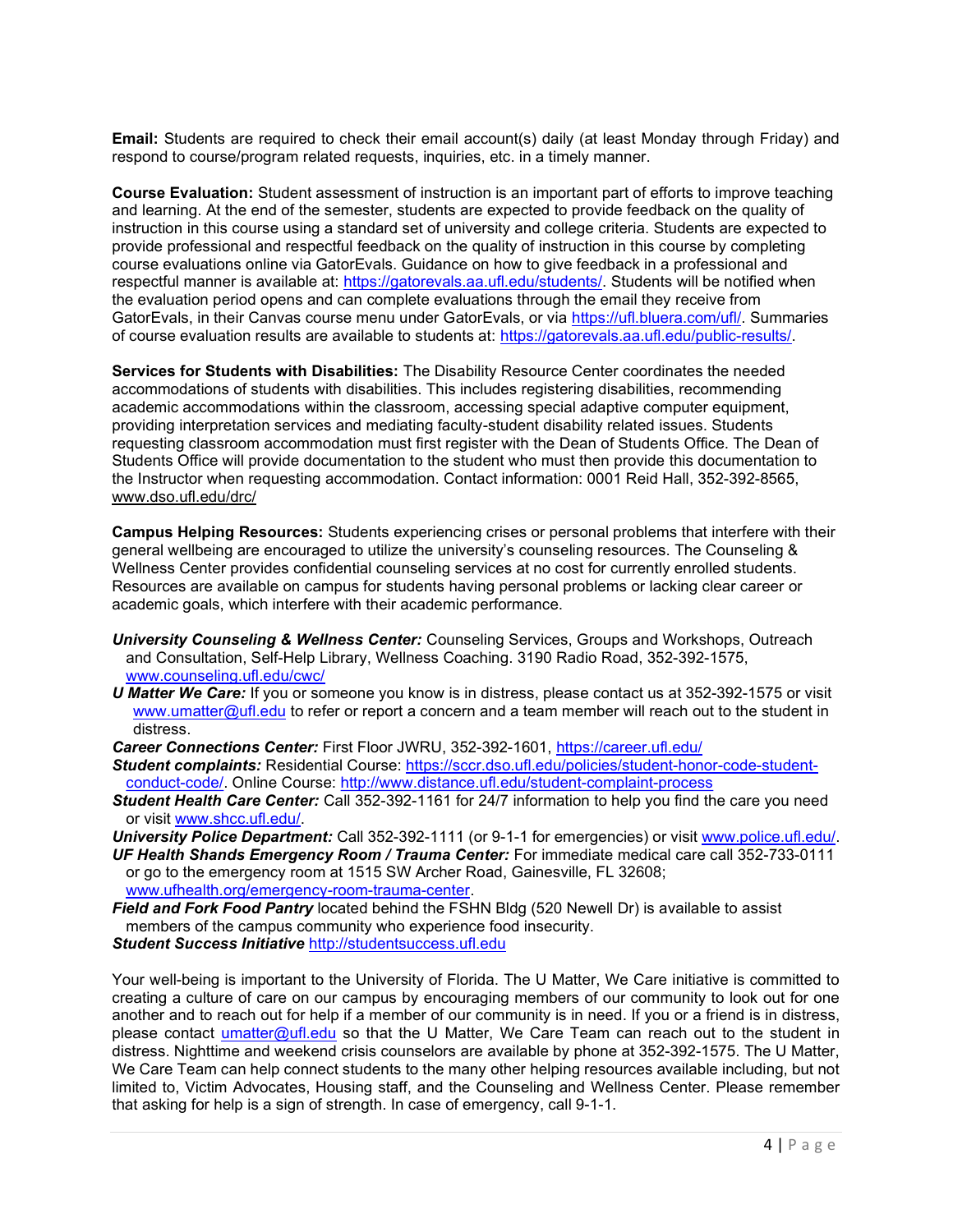Email: Students are required to check their email account(s) daily (at least Monday through Friday) and respond to course/program related requests, inquiries, etc. in a timely manner.

Course Evaluation: Student assessment of instruction is an important part of efforts to improve teaching and learning. At the end of the semester, students are expected to provide feedback on the quality of instruction in this course using a standard set of university and college criteria. Students are expected to provide professional and respectful feedback on the quality of instruction in this course by completing course evaluations online via GatorEvals. Guidance on how to give feedback in a professional and respectful manner is available at: https://gatorevals.aa.ufl.edu/students/. Students will be notified when the evaluation period opens and can complete evaluations through the email they receive from GatorEvals, in their Canvas course menu under GatorEvals, or via https://ufl.bluera.com/ufl/. Summaries of course evaluation results are available to students at: https://gatorevals.aa.ufl.edu/public-results/.

Services for Students with Disabilities: The Disability Resource Center coordinates the needed accommodations of students with disabilities. This includes registering disabilities, recommending academic accommodations within the classroom, accessing special adaptive computer equipment, providing interpretation services and mediating faculty-student disability related issues. Students requesting classroom accommodation must first register with the Dean of Students Office. The Dean of Students Office will provide documentation to the student who must then provide this documentation to the Instructor when requesting accommodation. Contact information: 0001 Reid Hall, 352-392-8565, www.dso.ufl.edu/drc/

Campus Helping Resources: Students experiencing crises or personal problems that interfere with their general wellbeing are encouraged to utilize the university's counseling resources. The Counseling & Wellness Center provides confidential counseling services at no cost for currently enrolled students. Resources are available on campus for students having personal problems or lacking clear career or academic goals, which interfere with their academic performance.

- University Counseling & Wellness Center: Counseling Services, Groups and Workshops, Outreach and Consultation, Self-Help Library, Wellness Coaching. 3190 Radio Road, 352-392-1575, www.counseling.ufl.edu/cwc/
- U Matter We Care: If you or someone you know is in distress, please contact us at 352-392-1575 or visit www.umatter@ufl.edu to refer or report a concern and a team member will reach out to the student in distress.
- Career Connections Center: First Floor JWRU, 352-392-1601, https://career.ufl.edu/
- Student complaints: Residential Course: https://sccr.dso.ufl.edu/policies/student-honor-code-studentconduct-code/. Online Course: http://www.distance.ufl.edu/student-complaint-process
- Student Health Care Center: Call 352-392-1161 for 24/7 information to help you find the care you need or visit www.shcc.ufl.edu/.

University Police Department: Call 352-392-1111 (or 9-1-1 for emergencies) or visit www.police.ufl.edu/. UF Health Shands Emergency Room / Trauma Center: For immediate medical care call 352-733-0111

or go to the emergency room at 1515 SW Archer Road, Gainesville, FL 32608; www.ufhealth.org/emergency-room-trauma-center.

Field and Fork Food Pantry located behind the FSHN Bldg (520 Newell Dr) is available to assist members of the campus community who experience food insecurity.

Student Success Initiative http://studentsuccess.ufl.edu

Your well-being is important to the University of Florida. The U Matter, We Care initiative is committed to creating a culture of care on our campus by encouraging members of our community to look out for one another and to reach out for help if a member of our community is in need. If you or a friend is in distress, please contact umatter@ufl.edu so that the U Matter, We Care Team can reach out to the student in distress. Nighttime and weekend crisis counselors are available by phone at 352-392-1575. The U Matter, We Care Team can help connect students to the many other helping resources available including, but not limited to, Victim Advocates, Housing staff, and the Counseling and Wellness Center. Please remember that asking for help is a sign of strength. In case of emergency, call 9-1-1.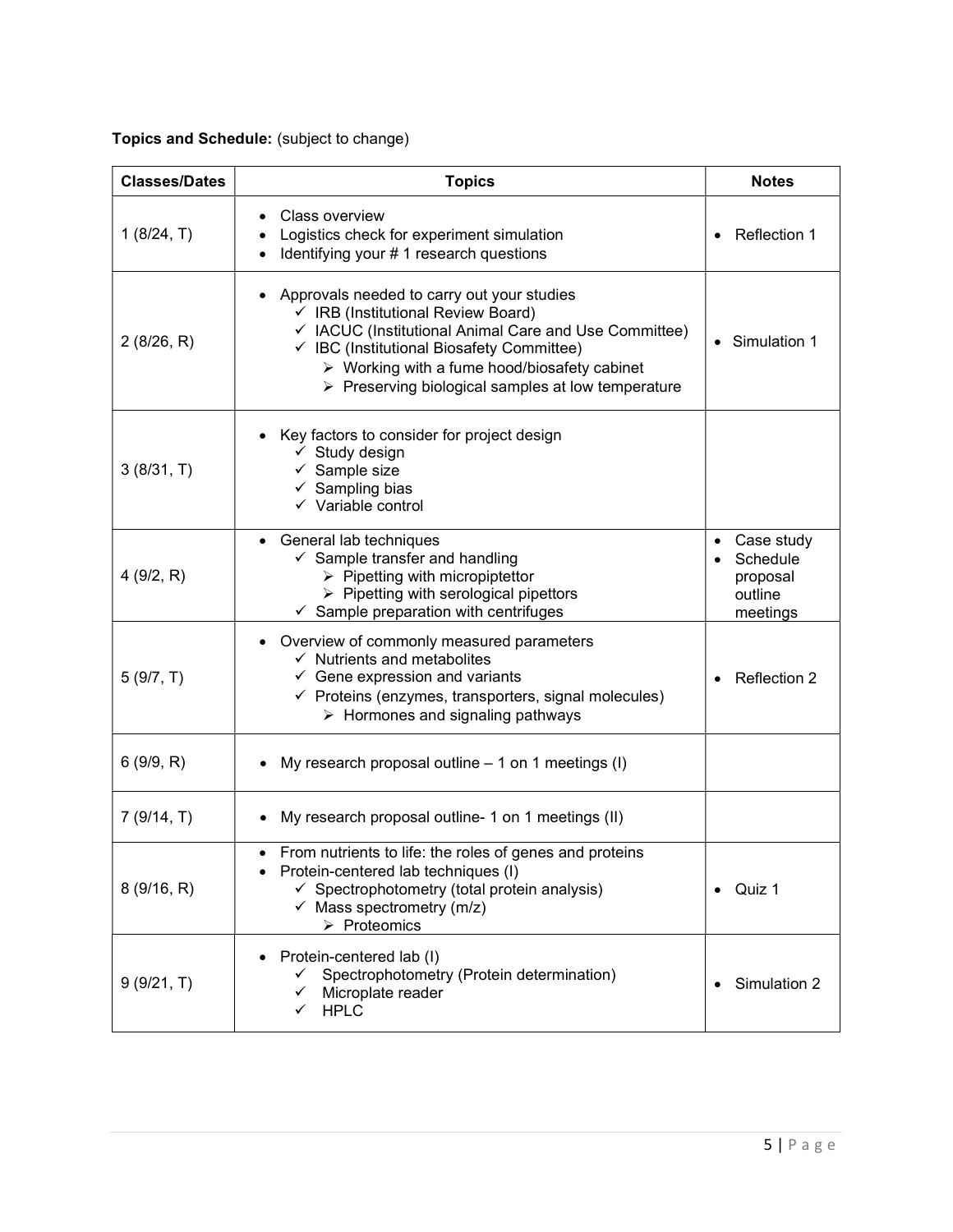Topics and Schedule: (subject to change)

| <b>Classes/Dates</b> | <b>Topics</b>                                                                                                                                                                                                                                                                                                              | <b>Notes</b>                                              |
|----------------------|----------------------------------------------------------------------------------------------------------------------------------------------------------------------------------------------------------------------------------------------------------------------------------------------------------------------------|-----------------------------------------------------------|
| 1(8/24, T)           | Class overview<br>Logistics check for experiment simulation<br>Identifying your #1 research questions                                                                                                                                                                                                                      | Reflection 1                                              |
| 2(8/26, R)           | Approvals needed to carry out your studies<br>√ IRB (Institutional Review Board)<br>✓ IACUC (Institutional Animal Care and Use Committee)<br>✓ IBC (Institutional Biosafety Committee)<br>$\triangleright$ Working with a fume hood/biosafety cabinet<br>$\triangleright$ Preserving biological samples at low temperature | Simulation 1                                              |
| 3(8/31, T)           | Key factors to consider for project design<br>$\checkmark$ Study design<br>$\checkmark$ Sample size<br>$\checkmark$ Sampling bias<br>$\checkmark$ Variable control                                                                                                                                                         |                                                           |
| 4(9/2, R)            | General lab techniques<br>$\bullet$<br>$\checkmark$ Sample transfer and handling<br>$\triangleright$ Pipetting with micropiptettor<br>$\triangleright$ Pipetting with serological pipettors<br>$\checkmark$ Sample preparation with centrifuges                                                                            | Case study<br>Schedule<br>proposal<br>outline<br>meetings |
| 5(9/7, T)            | Overview of commonly measured parameters<br>$\checkmark$ Nutrients and metabolites<br>$\checkmark$ Gene expression and variants<br>$\checkmark$ Proteins (enzymes, transporters, signal molecules)<br>$\triangleright$ Hormones and signaling pathways                                                                     | Reflection 2                                              |
| 6(9/9, R)            | My research proposal outline $-1$ on 1 meetings (I)                                                                                                                                                                                                                                                                        |                                                           |
| 7(9/14, T)           | My research proposal outline- 1 on 1 meetings (II)                                                                                                                                                                                                                                                                         |                                                           |
| 8(9/16, R)           | From nutrients to life: the roles of genes and proteins<br>Protein-centered lab techniques (I)<br>$\checkmark$ Spectrophotometry (total protein analysis)<br>$\checkmark$ Mass spectrometry (m/z)<br>$\triangleright$ Proteomics                                                                                           | Quiz 1                                                    |
| 9(9/21, T)           | Protein-centered lab (I)<br>Spectrophotometry (Protein determination)<br>Microplate reader<br><b>HPLC</b><br>$\checkmark$                                                                                                                                                                                                  | Simulation 2                                              |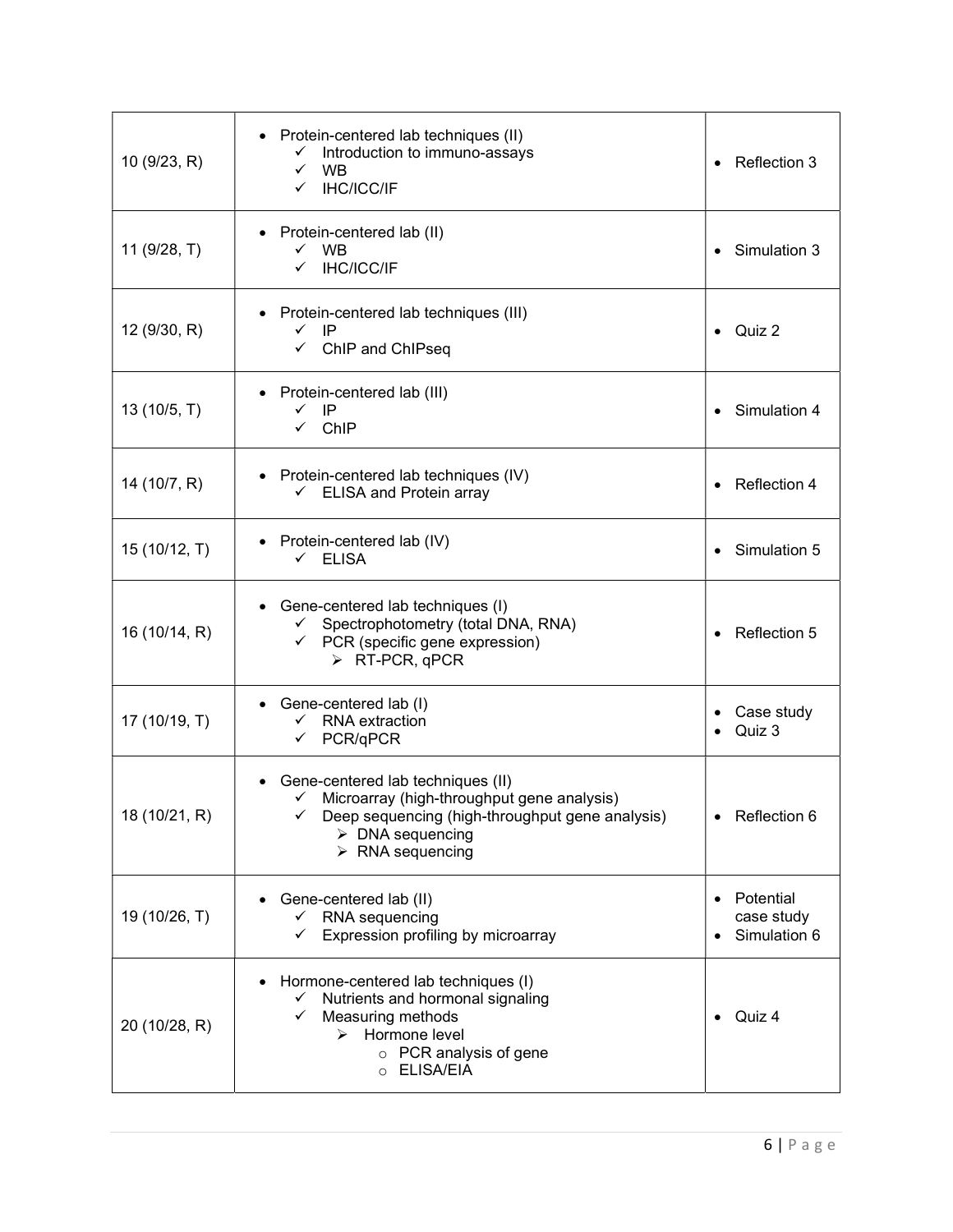| 10 (9/23, R)  | • Protein-centered lab techniques (II)<br>Introduction to immuno-assays<br>✓<br>WB<br>$\checkmark$<br><b>IHC/ICC/IF</b><br>$\checkmark$                                                                               | Reflection 3                            |
|---------------|-----------------------------------------------------------------------------------------------------------------------------------------------------------------------------------------------------------------------|-----------------------------------------|
| 11 (9/28, T)  | Protein-centered lab (II)<br>$\checkmark$ WB<br>V IHC/ICC/IF                                                                                                                                                          | Simulation 3                            |
| 12 (9/30, R)  | • Protein-centered lab techniques (III)<br>$\checkmark$ IP<br>$\checkmark$ ChIP and ChIPseq                                                                                                                           | Quiz 2                                  |
| 13 (10/5, T)  | Protein-centered lab (III)<br>$\checkmark$ IP<br>$\checkmark$ ChIP                                                                                                                                                    | Simulation 4                            |
| 14 (10/7, R)  | • Protein-centered lab techniques (IV)<br>$\checkmark$ ELISA and Protein array                                                                                                                                        | Reflection 4                            |
| 15 (10/12, T) | • Protein-centered lab (IV)<br>$\checkmark$ ELISA                                                                                                                                                                     | Simulation 5                            |
| 16 (10/14, R) | Gene-centered lab techniques (I)<br>← Spectrophotometry (total DNA, RNA)<br>$\checkmark$ PCR (specific gene expression)<br>$\triangleright$ RT-PCR, qPCR                                                              | Reflection 5                            |
| 17 (10/19, T) | • Gene-centered lab (I)<br>$\checkmark$ RNA extraction<br>$\checkmark$ PCR/qPCR                                                                                                                                       | Case study<br>Quiz 3                    |
| 18 (10/21, R) | Gene-centered lab techniques (II)<br>$\checkmark$ Microarray (high-throughput gene analysis)<br>Deep sequencing (high-throughput gene analysis)<br>$\triangleright$ DNA sequencing<br>$\triangleright$ RNA sequencing | Reflection 6                            |
| 19 (10/26, T) | Gene-centered lab (II)<br>$\checkmark$ RNA sequencing<br>Expression profiling by microarray                                                                                                                           | Potential<br>case study<br>Simulation 6 |
| 20 (10/28, R) | Hormone-centered lab techniques (I)<br>Nutrients and hormonal signaling<br>$\checkmark$<br>Measuring methods<br>✓<br>Hormone level<br>↘<br>o PCR analysis of gene<br>o ELISA/EIA                                      | Quiz 4                                  |